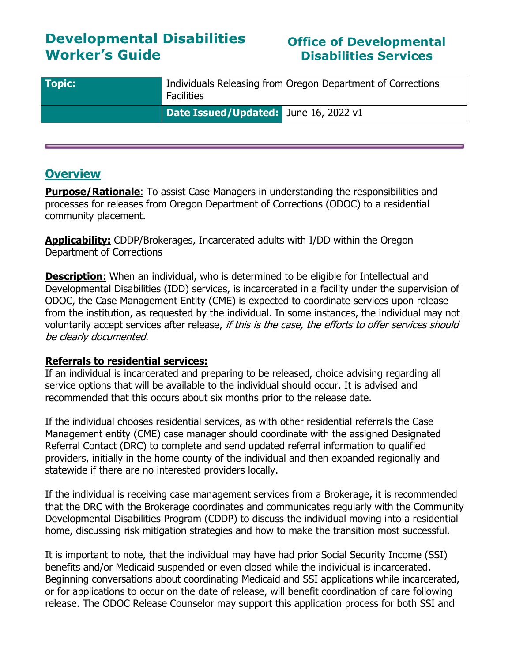# **Developmental Disabilities Worker's Guide**

# **Office of Developmental Disabilities Services**

| <b>Topic:</b> | Individuals Releasing from Oregon Department of Corrections<br><b>Facilities</b> |
|---------------|----------------------------------------------------------------------------------|
|               | Date Issued/Updated: June 16, 2022 v1                                            |

## **Overview**

**Purpose/Rationale:** To assist Case Managers in understanding the responsibilities and processes for releases from Oregon Department of Corrections (ODOC) to a residential community placement.

**Applicability:** CDDP/Brokerages, Incarcerated adults with I/DD within the Oregon Department of Corrections

**Description:** When an individual, who is determined to be eligible for Intellectual and Developmental Disabilities (IDD) services, is incarcerated in a facility under the supervision of ODOC, the Case Management Entity (CME) is expected to coordinate services upon release from the institution, as requested by the individual. In some instances, the individual may not voluntarily accept services after release, if this is the case, the efforts to offer services should be clearly documented.

#### **Referrals to residential services:**

If an individual is incarcerated and preparing to be released, choice advising regarding all service options that will be available to the individual should occur. It is advised and recommended that this occurs about six months prior to the release date.

If the individual chooses residential services, as with other residential referrals the Case Management entity (CME) case manager should coordinate with the assigned Designated Referral Contact (DRC) to complete and send updated referral information to qualified providers, initially in the home county of the individual and then expanded regionally and statewide if there are no interested providers locally.

If the individual is receiving case management services from a Brokerage, it is recommended that the DRC with the Brokerage coordinates and communicates regularly with the Community Developmental Disabilities Program (CDDP) to discuss the individual moving into a residential home, discussing risk mitigation strategies and how to make the transition most successful.

It is important to note, that the individual may have had prior Social Security Income (SSI) benefits and/or Medicaid suspended or even closed while the individual is incarcerated. Beginning conversations about coordinating Medicaid and SSI applications while incarcerated, or for applications to occur on the date of release, will benefit coordination of care following release. The ODOC Release Counselor may support this application process for both SSI and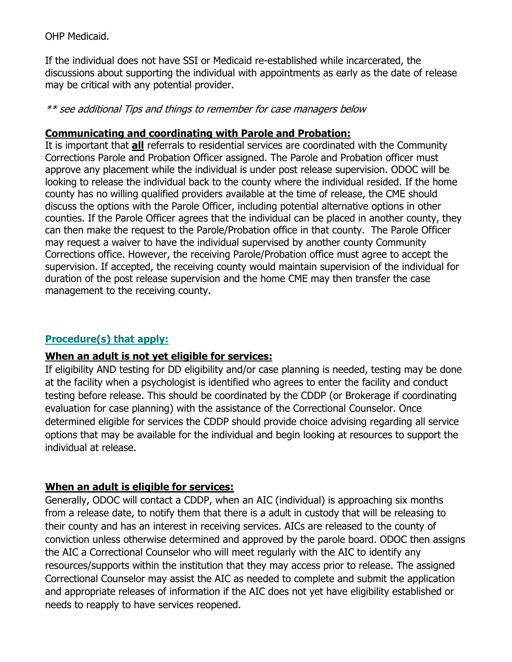OHP Medicaid.

If the individual does not have SSI or Medicaid re-established while incarcerated, the discussions about supporting the individual with appointments as early as the date of release may be critical with any potential provider.

\*\* see additional Tips and things to remember for case managers below

### **Communicating and coordinating with Parole and Probation:**

It is important that **all** referrals to residential services are coordinated with the Community Corrections Parole and Probation Officer assigned. The Parole and Probation officer must approve any placement while the individual is under post release supervision. ODOC will be looking to release the individual back to the county where the individual resided. If the home county has no willing qualified providers available at the time of release, the CME should discuss the options with the Parole Officer, including potential alternative options in other counties. If the Parole Officer agrees that the individual can be placed in another county, they can then make the request to the Parole/Probation office in that county. The Parole Officer may request a waiver to have the individual supervised by another county Community Corrections office. However, the receiving Parole/Probation office must agree to accept the supervision. If accepted, the receiving county would maintain supervision of the individual for duration of the post release supervision and the home CME may then transfer the case management to the receiving county.

### **Procedure(s) that apply:**

### **When an adult is not yet eligible for services:**

If eligibility AND testing for DD eligibility and/or case planning is needed, testing may be done at the facility when a psychologist is identified who agrees to enter the facility and conduct testing before release. This should be coordinated by the CDDP (or Brokerage if coordinating evaluation for case planning) with the assistance of the Correctional Counselor. Once determined eligible for services the CDDP should provide choice advising regarding all service options that may be available for the individual and begin looking at resources to support the individual at release.

### **When an adult is eligible for services:**

Generally, ODOC will contact a CDDP, when an AIC (individual) is approaching six months from a release date, to notify them that there is a adult in custody that will be releasing to their county and has an interest in receiving services. AICs are released to the county of conviction unless otherwise determined and approved by the parole board. ODOC then assigns the AIC a Correctional Counselor who will meet regularly with the AIC to identify any resources/supports within the institution that they may access prior to release. The assigned Correctional Counselor may assist the AIC as needed to complete and submit the application and appropriate releases of information if the AIC does not yet have eligibility established or needs to reapply to have services reopened.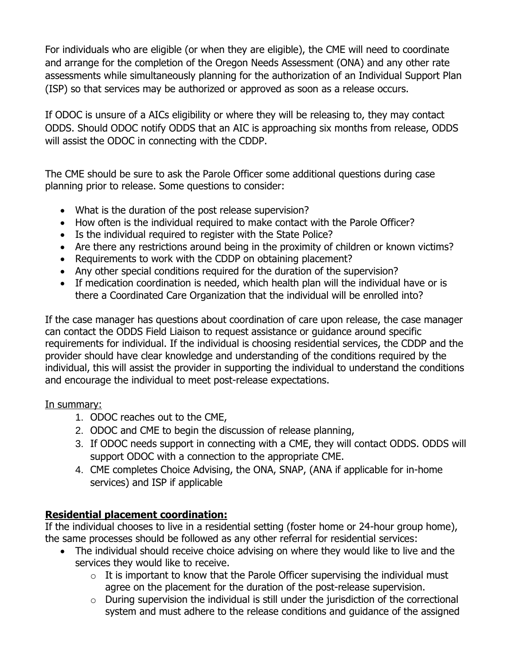For individuals who are eligible (or when they are eligible), the CME will need to coordinate and arrange for the completion of the Oregon Needs Assessment (ONA) and any other rate assessments while simultaneously planning for the authorization of an Individual Support Plan (ISP) so that services may be authorized or approved as soon as a release occurs.

If ODOC is unsure of a AICs eligibility or where they will be releasing to, they may contact ODDS. Should ODOC notify ODDS that an AIC is approaching six months from release, ODDS will assist the ODOC in connecting with the CDDP.

The CME should be sure to ask the Parole Officer some additional questions during case planning prior to release. Some questions to consider:

- What is the duration of the post release supervision?
- How often is the individual required to make contact with the Parole Officer?
- Is the individual required to register with the State Police?
- Are there any restrictions around being in the proximity of children or known victims?
- Requirements to work with the CDDP on obtaining placement?
- Any other special conditions required for the duration of the supervision?
- If medication coordination is needed, which health plan will the individual have or is there a Coordinated Care Organization that the individual will be enrolled into?

If the case manager has questions about coordination of care upon release, the case manager can contact the ODDS Field Liaison to request assistance or guidance around specific requirements for individual. If the individual is choosing residential services, the CDDP and the provider should have clear knowledge and understanding of the conditions required by the individual, this will assist the provider in supporting the individual to understand the conditions and encourage the individual to meet post-release expectations.

### In summary:

- 1. ODOC reaches out to the CME,
- 2. ODOC and CME to begin the discussion of release planning,
- 3. If ODOC needs support in connecting with a CME, they will contact ODDS. ODDS will support ODOC with a connection to the appropriate CME.
- 4. CME completes Choice Advising, the ONA, SNAP, (ANA if applicable for in-home services) and ISP if applicable

## **Residential placement coordination:**

If the individual chooses to live in a residential setting (foster home or 24-hour group home), the same processes should be followed as any other referral for residential services:

- The individual should receive choice advising on where they would like to live and the services they would like to receive.
	- $\circ$  It is important to know that the Parole Officer supervising the individual must agree on the placement for the duration of the post-release supervision.
	- o During supervision the individual is still under the jurisdiction of the correctional system and must adhere to the release conditions and guidance of the assigned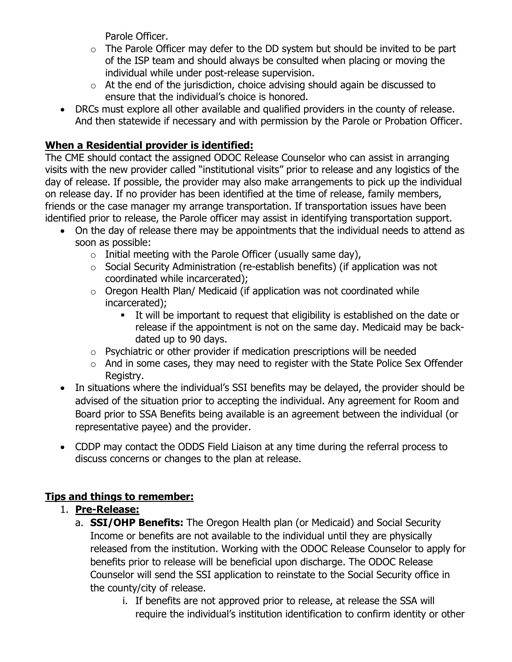Parole Officer.

- $\circ$  The Parole Officer may defer to the DD system but should be invited to be part of the ISP team and should always be consulted when placing or moving the individual while under post-release supervision.
- $\circ$  At the end of the jurisdiction, choice advising should again be discussed to ensure that the individual's choice is honored.
- DRCs must explore all other available and qualified providers in the county of release. And then statewide if necessary and with permission by the Parole or Probation Officer.

# **When a Residential provider is identified:**

The CME should contact the assigned ODOC Release Counselor who can assist in arranging visits with the new provider called "institutional visits" prior to release and any logistics of the day of release. If possible, the provider may also make arrangements to pick up the individual on release day. If no provider has been identified at the time of release, family members, friends or the case manager my arrange transportation. If transportation issues have been identified prior to release, the Parole officer may assist in identifying transportation support.

- On the day of release there may be appointments that the individual needs to attend as soon as possible:
	- $\circ$  Initial meeting with the Parole Officer (usually same day),
	- o Social Security Administration (re-establish benefits) (if application was not coordinated while incarcerated);
	- o Oregon Health Plan/ Medicaid (if application was not coordinated while incarcerated);
		- It will be important to request that eligibility is established on the date or release if the appointment is not on the same day. Medicaid may be backdated up to 90 days.
	- o Psychiatric or other provider if medication prescriptions will be needed
	- $\circ$  And in some cases, they may need to register with the State Police Sex Offender Registry.
- In situations where the individual's SSI benefits may be delayed, the provider should be advised of the situation prior to accepting the individual. Any agreement for Room and Board prior to SSA Benefits being available is an agreement between the individual (or representative payee) and the provider.
- CDDP may contact the ODDS Field Liaison at any time during the referral process to discuss concerns or changes to the plan at release.

## **Tips and things to remember:**

## 1. **Pre-Release:**

- a. **SSI/OHP Benefits:** The Oregon Health plan (or Medicaid) and Social Security Income or benefits are not available to the individual until they are physically released from the institution. Working with the ODOC Release Counselor to apply for benefits prior to release will be beneficial upon discharge. The ODOC Release Counselor will send the SSI application to reinstate to the Social Security office in the county/city of release.
	- i. If benefits are not approved prior to release, at release the SSA will require the individual's institution identification to confirm identity or other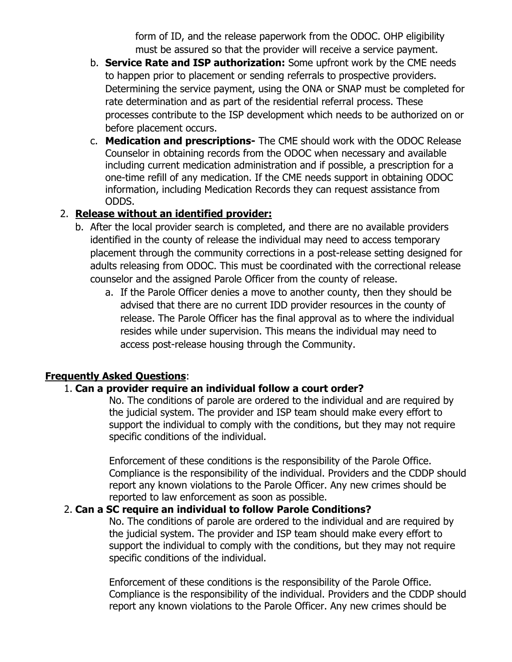form of ID, and the release paperwork from the ODOC. OHP eligibility must be assured so that the provider will receive a service payment.

- b. **Service Rate and ISP authorization:** Some upfront work by the CME needs to happen prior to placement or sending referrals to prospective providers. Determining the service payment, using the ONA or SNAP must be completed for rate determination and as part of the residential referral process. These processes contribute to the ISP development which needs to be authorized on or before placement occurs.
- c. **Medication and prescriptions-** The CME should work with the ODOC Release Counselor in obtaining records from the ODOC when necessary and available including current medication administration and if possible, a prescription for a one-time refill of any medication. If the CME needs support in obtaining ODOC information, including Medication Records they can request assistance from ODDS.

## 2. **Release without an identified provider:**

- b. After the local provider search is completed, and there are no available providers identified in the county of release the individual may need to access temporary placement through the community corrections in a post-release setting designed for adults releasing from ODOC. This must be coordinated with the correctional release counselor and the assigned Parole Officer from the county of release.
	- a. If the Parole Officer denies a move to another county, then they should be advised that there are no current IDD provider resources in the county of release. The Parole Officer has the final approval as to where the individual resides while under supervision. This means the individual may need to access post-release housing through the Community.

### **Frequently Asked Questions**:

#### 1. **Can a provider require an individual follow a court order?**

No. The conditions of parole are ordered to the individual and are required by the judicial system. The provider and ISP team should make every effort to support the individual to comply with the conditions, but they may not require specific conditions of the individual.

Enforcement of these conditions is the responsibility of the Parole Office. Compliance is the responsibility of the individual. Providers and the CDDP should report any known violations to the Parole Officer. Any new crimes should be reported to law enforcement as soon as possible.

#### 2. **Can a SC require an individual to follow Parole Conditions?**

No. The conditions of parole are ordered to the individual and are required by the judicial system. The provider and ISP team should make every effort to support the individual to comply with the conditions, but they may not require specific conditions of the individual.

Enforcement of these conditions is the responsibility of the Parole Office. Compliance is the responsibility of the individual. Providers and the CDDP should report any known violations to the Parole Officer. Any new crimes should be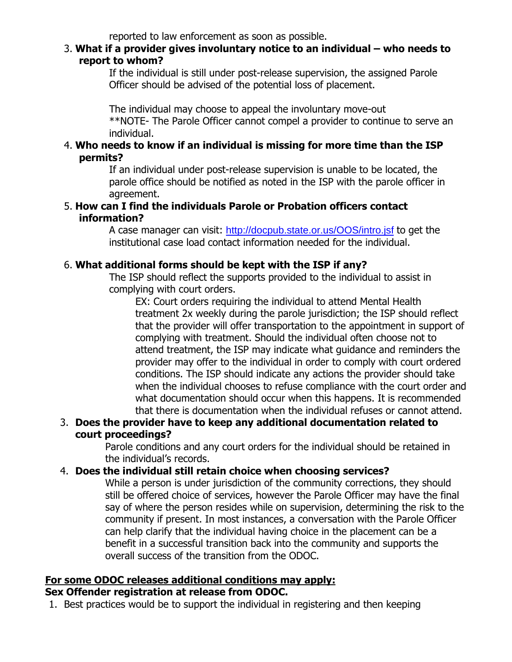reported to law enforcement as soon as possible.

#### 3. **What if a provider gives involuntary notice to an individual – who needs to report to whom?**

If the individual is still under post-release supervision, the assigned Parole Officer should be advised of the potential loss of placement.

The individual may choose to appeal the involuntary move-out

\*\*NOTE- The Parole Officer cannot compel a provider to continue to serve an individual.

#### 4. **Who needs to know if an individual is missing for more time than the ISP permits?**

If an individual under post-release supervision is unable to be located, the parole office should be notified as noted in the ISP with the parole officer in agreement.

#### 5. **How can I find the individuals Parole or Probation officers contact information?**

A case manager can visit: <http://docpub.state.or.us/OOS/intro.jsf> to get the institutional case load contact information needed for the individual.

#### 6. **What additional forms should be kept with the ISP if any?**

The ISP should reflect the supports provided to the individual to assist in complying with court orders.

EX: Court orders requiring the individual to attend Mental Health treatment 2x weekly during the parole jurisdiction; the ISP should reflect that the provider will offer transportation to the appointment in support of complying with treatment. Should the individual often choose not to attend treatment, the ISP may indicate what guidance and reminders the provider may offer to the individual in order to comply with court ordered conditions. The ISP should indicate any actions the provider should take when the individual chooses to refuse compliance with the court order and what documentation should occur when this happens. It is recommended that there is documentation when the individual refuses or cannot attend.

#### 3. **Does the provider have to keep any additional documentation related to court proceedings?**

Parole conditions and any court orders for the individual should be retained in the individual's records.

### 4. **Does the individual still retain choice when choosing services?**

While a person is under jurisdiction of the community corrections, they should still be offered choice of services, however the Parole Officer may have the final say of where the person resides while on supervision, determining the risk to the community if present. In most instances, a conversation with the Parole Officer can help clarify that the individual having choice in the placement can be a benefit in a successful transition back into the community and supports the overall success of the transition from the ODOC.

# **For some ODOC releases additional conditions may apply:**

#### **Sex Offender registration at release from ODOC.**

1. Best practices would be to support the individual in registering and then keeping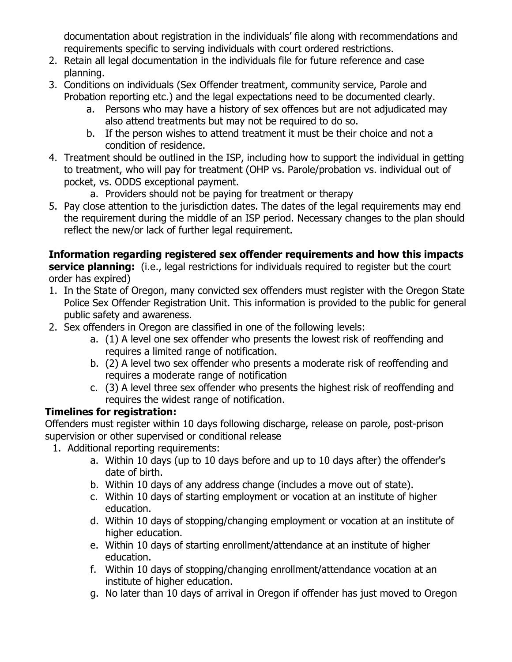documentation about registration in the individuals' file along with recommendations and requirements specific to serving individuals with court ordered restrictions.

- 2. Retain all legal documentation in the individuals file for future reference and case planning.
- 3. Conditions on individuals (Sex Offender treatment, community service, Parole and Probation reporting etc.) and the legal expectations need to be documented clearly.
	- a. Persons who may have a history of sex offences but are not adjudicated may also attend treatments but may not be required to do so.
	- b. If the person wishes to attend treatment it must be their choice and not a condition of residence.
- 4. Treatment should be outlined in the ISP, including how to support the individual in getting to treatment, who will pay for treatment (OHP vs. Parole/probation vs. individual out of pocket, vs. ODDS exceptional payment.
	- a. Providers should not be paying for treatment or therapy
- 5. Pay close attention to the jurisdiction dates. The dates of the legal requirements may end the requirement during the middle of an ISP period. Necessary changes to the plan should reflect the new/or lack of further legal requirement.

**Information regarding registered sex offender requirements and how this impacts service planning:** (i.e., legal restrictions for individuals required to register but the court order has expired)

- 1. In the State of Oregon, many convicted sex offenders must register with the Oregon State Police Sex Offender Registration Unit. This information is provided to the public for general public safety and awareness.
- 2. Sex offenders in Oregon are classified in one of the following levels:
	- a. (1) A level one sex offender who presents the lowest risk of reoffending and requires a limited range of notification.
	- b. (2) A level two sex offender who presents a moderate risk of reoffending and requires a moderate range of notification
	- c. (3) A level three sex offender who presents the highest risk of reoffending and requires the widest range of notification.

## **Timelines for registration:**

Offenders must register within 10 days following discharge, release on parole, post-prison supervision or other supervised or conditional release

- 1. Additional reporting requirements:
	- a. Within 10 days (up to 10 days before and up to 10 days after) the offender's date of birth.
	- b. Within 10 days of any address change (includes a move out of state).
	- c. Within 10 days of starting employment or vocation at an institute of higher education.
	- d. Within 10 days of stopping/changing employment or vocation at an institute of higher education.
	- e. Within 10 days of starting enrollment/attendance at an institute of higher education.
	- f. Within 10 days of stopping/changing enrollment/attendance vocation at an institute of higher education.
	- g. No later than 10 days of arrival in Oregon if offender has just moved to Oregon